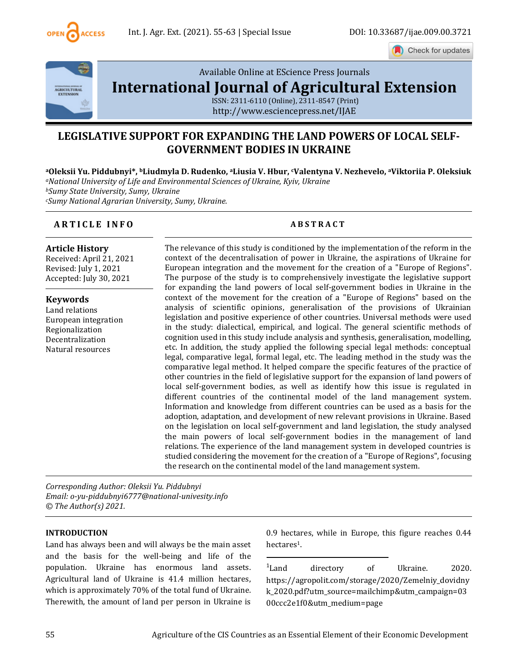

Check for updates



Available Online at EScience Press Journals

**[International Journal of Agricultural Extension](http://www.escijournals.net/IJER)**

ISSN: 2311-6110 (Online), 2311-8547 (Print) http://www.esciencepress.net/IJAE

# **LEGISLATIVE SUPPORT FOR EXPANDING THE LAND POWERS OF LOCAL SELF-GOVERNMENT BODIES IN UKRAINE**

**<sup>a</sup>Oleksii Yu. Piddubnyi\*, bLiudmyla D. Rudenko, aLiusia V. Hbur, cValentyna V. Nezhevelo, aViktoriia P. Oleksiuk** *<sup>a</sup>National University of Life and Environmental Sciences of Ukraine, Kyiv, Ukraine <sup>b</sup>Sumy State University, Sumy, Ukraine <sup>c</sup>Sumy National Agrarian University, Sumy, Ukraine.*

# **A R T I C L E I N F O A B S T R A C T**

### **Article History**

Received: April 21, 2021 Revised: July 1, 2021 Accepted: July 30, 2021

**Keywords** Land relations European integration Regionalization Decentralization Natural resources

The relevance of this study is conditioned by the implementation of the reform in the context of the decentralisation of power in Ukraine, the aspirations of Ukraine for European integration and the movement for the creation of a "Europe of Regions". The purpose of the study is to comprehensively investigate the legislative support for expanding the land powers of local self-government bodies in Ukraine in the context of the movement for the creation of a "Europe of Regions" based on the analysis of scientific opinions, generalisation of the provisions of Ukrainian legislation and positive experience of other countries. Universal methods were used in the study: dialectical, empirical, and logical. The general scientific methods of cognition used in this study include analysis and synthesis, generalisation, modelling, etc. In addition, the study applied the following special legal methods: conceptual legal, comparative legal, formal legal, etc. The leading method in the study was the comparative legal method. It helped compare the specific features of the practice of other countries in the field of legislative support for the expansion of land powers of local self-government bodies, as well as identify how this issue is regulated in different countries of the continental model of the land management system. Information and knowledge from different countries can be used as a basis for the adoption, adaptation, and development of new relevant provisions in Ukraine. Based on the legislation on local self-government and land legislation, the study analysed the main powers of local self-government bodies in the management of land relations. The experience of the land management system in developed countries is studied considering the movement for the creation of a "Europe of Regions", focusing the research on the continental model of the land management system.

*Corresponding Author: Oleksii Yu. Piddubnyi Email: o-yu-piddubnyi6777@national-univesity.info © The Author(s) 2021.*

#### **INTRODUCTION**

Land has always been and will always be the main asset and the basis for the well-being and life of the population. Ukraine has enormous land assets. Agricultural land of Ukraine is 41.4 million hectares, which is approximately 70% of the total fund of Ukraine. Therewith, the amount of land per person in Ukraine is

0.9 hectares, while in Europe, this figure reaches 0.44 hectares<sup>1</sup>.

<sup>1</sup>Land directory of Ukraine. 2020. https://agropolit.com/storage/2020/Zemelniy\_dovidny k\_2020.pdf?utm\_source=mailchimp&utm\_campaign=03 00ccc2e1f0&utm\_medium=page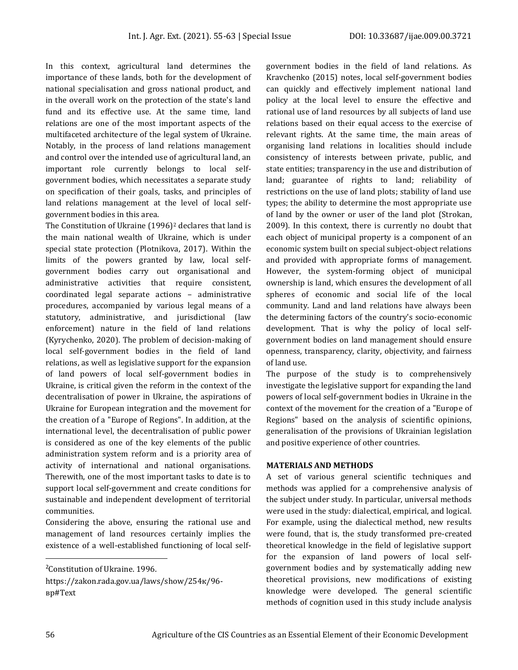In this context, agricultural land determines the importance of these lands, both for the development of national specialisation and gross national product, and in the overall work on the protection of the state's land fund and its effective use. At the same time, land relations are one of the most important aspects of the multifaceted architecture of the legal system of Ukraine. Notably, in the process of land relations management and control over the intended use of agricultural land, an important role currently belongs to local selfgovernment bodies, which necessitates a separate study on specification of their goals, tasks, and principles of land relations management at the level of local selfgovernment bodies in this area.

The Constitution of Ukraine (1996)<sup>2</sup> declares that land is the main national wealth of Ukraine, which is under special state protection (Plotnikova, 2017). Within the limits of the powers granted by law, local selfgovernment bodies carry out organisational and administrative activities that require consistent, coordinated legal separate actions – administrative procedures, accompanied by various legal means of a statutory, administrative, and jurisdictional (law enforcement) nature in the field of land relations (Kyrychenko, 2020). The problem of decision-making of local self-government bodies in the field of land relations, as well as legislative support for the expansion of land powers of local self-government bodies in Ukraine, is critical given the reform in the context of the decentralisation of power in Ukraine, the aspirations of Ukraine for European integration and the movement for the creation of a "Europe of Regions". In addition, at the international level, the decentralisation of public power is considered as one of the key elements of the public administration system reform and is a priority area of activity of international and national organisations. Therewith, one of the most important tasks to date is to support local self-government and create conditions for sustainable and independent development of territorial communities.

Considering the above, ensuring the rational use and management of land resources certainly implies the existence of a well-established functioning of local selfgovernment bodies in the field of land relations. As Kravchenko (2015) notes, local self-government bodies can quickly and effectively implement national land policy at the local level to ensure the effective and rational use of land resources by all subjects of land use relations based on their equal access to the exercise of relevant rights. At the same time, the main areas of organising land relations in localities should include consistency of interests between private, public, and state entities; transparency in the use and distribution of land; guarantee of rights to land; reliability of restrictions on the use of land plots; stability of land use types; the ability to determine the most appropriate use of land by the owner or user of the land plot (Strokan, 2009). In this context, there is currently no doubt that each object of municipal property is a component of an economic system built on special subject-object relations and provided with appropriate forms of management. However, the system-forming object of municipal ownership is land, which ensures the development of all spheres of economic and social life of the local community. Land and land relations have always been the determining factors of the country's socio-economic development. That is why the policy of local selfgovernment bodies on land management should ensure openness, transparency, clarity, objectivity, and fairness of land use.

The purpose of the study is to comprehensively investigate the legislative support for expanding the land powers of local self-government bodies in Ukraine in the context of the movement for the creation of a "Europe of Regions" based on the analysis of scientific opinions, generalisation of the provisions of Ukrainian legislation and positive experience of other countries.

### **MATERIALS AND METHODS**

A set of various general scientific techniques and methods was applied for a comprehensive analysis of the subject under study. In particular, universal methods were used in the study: dialectical, empirical, and logical. For example, using the dialectical method, new results were found, that is, the study transformed pre-created theoretical knowledge in the field of legislative support for the expansion of land powers of local selfgovernment bodies and by systematically adding new theoretical provisions, new modifications of existing knowledge were developed. The general scientific methods of cognition used in this study include analysis

<sup>2</sup>Constitution of Ukraine. 1996.

https://zakon.rada.gov.ua/laws/show/254к/96 вр#Text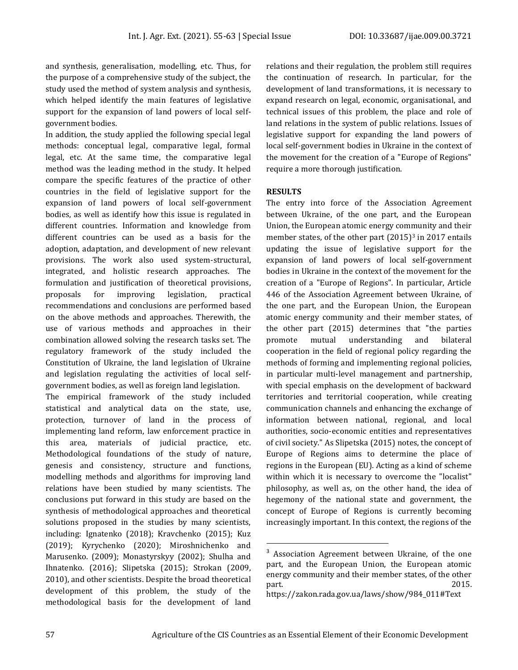and synthesis, generalisation, modelling, etc. Thus, for the purpose of a comprehensive study of the subject, the study used the method of system analysis and synthesis, which helped identify the main features of legislative support for the expansion of land powers of local selfgovernment bodies.

In addition, the study applied the following special legal methods: conceptual legal, comparative legal, formal legal, etc. At the same time, the comparative legal method was the leading method in the study. It helped compare the specific features of the practice of other countries in the field of legislative support for the expansion of land powers of local self-government bodies, as well as identify how this issue is regulated in different countries. Information and knowledge from different countries can be used as a basis for the adoption, adaptation, and development of new relevant provisions. The work also used system-structural, integrated, and holistic research approaches. The formulation and justification of theoretical provisions, proposals for improving legislation, practical recommendations and conclusions are performed based on the above methods and approaches. Therewith, the use of various methods and approaches in their combination allowed solving the research tasks set. The regulatory framework of the study included the Constitution of Ukraine, the land legislation of Ukraine and legislation regulating the activities of local selfgovernment bodies, as well as foreign land legislation.

The empirical framework of the study included statistical and analytical data on the state, use, protection, turnover of land in the process of implementing land reform, law enforcement practice in this area, materials of judicial practice, etc. Methodological foundations of the study of nature, genesis and consistency, structure and functions, modelling methods and algorithms for improving land relations have been studied by many scientists. The conclusions put forward in this study are based on the synthesis of methodological approaches and theoretical solutions proposed in the studies by many scientists, including: Ignatenko (2018); Kravchenko (2015); Kuz (2019); Kyrychenko (2020); Miroshnichenko and Marusenko. (2009); Monastyrskyy (2002); Shulha and Ihnatenko. (2016); Slipetska (2015); Strokan (2009, 2010), and other scientists. Despite the broad theoretical development of this problem, the study of the methodological basis for the development of land

relations and their regulation, the problem still requires the continuation of research. In particular, for the development of land transformations, it is necessary to expand research on legal, economic, organisational, and technical issues of this problem, the place and role of land relations in the system of public relations. Issues of legislative support for expanding the land powers of local self-government bodies in Ukraine in the context of the movement for the creation of a "Europe of Regions" require a more thorough justification.

# **RESULTS**

The entry into force of the Association Agreement between Ukraine, of the one part, and the European Union, the European atomic energy community and their member states, of the other part  $(2015)^3$  in 2017 entails updating the issue of legislative support for the expansion of land powers of local self-government bodies in Ukraine in the context of the movement for the creation of a "Europe of Regions". In particular, Article 446 of the Association Agreement between Ukraine, of the one part, and the European Union, the European atomic energy community and their member states, of the other part (2015) determines that "the parties promote mutual understanding and bilateral cooperation in the field of regional policy regarding the methods of forming and implementing regional policies, in particular multi-level management and partnership, with special emphasis on the development of backward territories and territorial cooperation, while creating communication channels and enhancing the exchange of information between national, regional, and local authorities, socio-economic entities and representatives of civil society." As Slipetska (2015) notes, the concept of Europe of Regions aims to determine the place of regions in the European (EU). Acting as a kind of scheme within which it is necessary to overcome the "localist" philosophy, as well as, on the other hand, the idea of hegemony of the national state and government, the concept of Europe of Regions is currently becoming increasingly important. In this context, the regions of the

<sup>&</sup>lt;sup>3</sup> Association Agreement between Ukraine, of the one part, and the European Union, the European atomic energy community and their member states, of the other part. 2015.

https://zakon.rada.gov.ua/laws/show/984\_011#Text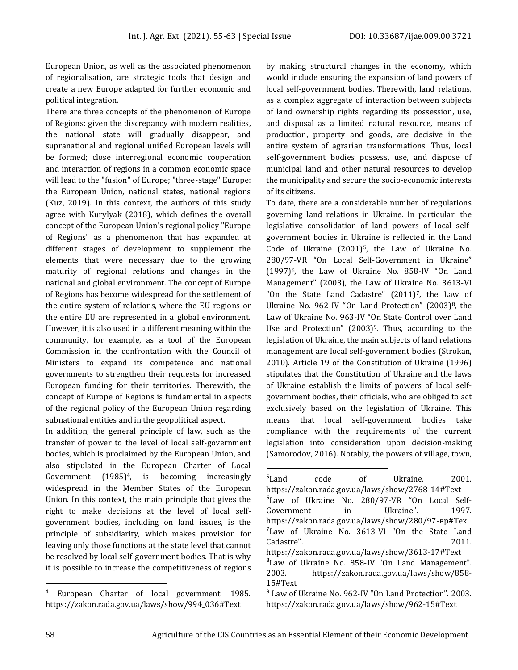European Union, as well as the associated phenomenon of regionalisation, are strategic tools that design and create a new Europe adapted for further economic and political integration.

There are three concepts of the phenomenon of Europe of Regions: given the discrepancy with modern realities, the national state will gradually disappear, and supranational and regional unified European levels will be formed; close interregional economic cooperation and interaction of regions in a common economic space will lead to the "fusion" of Europe; "three-stage" Europe: the European Union, national states, national regions (Kuz, 2019). In this context, the authors of this study agree with Kurylyak (2018), which defines the overall concept of the European Union's regional policy "Europe of Regions" as a phenomenon that has expanded at different stages of development to supplement the elements that were necessary due to the growing maturity of regional relations and changes in the national and global environment. The concept of Europe of Regions has become widespread for the settlement of the entire system of relations, where the EU regions or the entire EU are represented in a global environment. However, it is also used in a different meaning within the community, for example, as a tool of the European Commission in the confrontation with the Council of Ministers to expand its competence and national governments to strengthen their requests for increased European funding for their territories. Therewith, the concept of Europe of Regions is fundamental in aspects of the regional policy of the European Union regarding subnational entities and in the geopolitical aspect.

In addition, the general principle of law, such as the transfer of power to the level of local self-government bodies, which is proclaimed by the European Union, and also stipulated in the European Charter of Local Government  $(1985)^4$ , is becoming increasingly widespread in the Member States of the European Union. In this context, the main principle that gives the right to make decisions at the level of local selfgovernment bodies, including on land issues, is the principle of subsidiarity, which makes provision for leaving only those functions at the state level that cannot be resolved by local self-government bodies. That is why it is possible to increase the competitiveness of regions

by making structural changes in the economy, which would include ensuring the expansion of land powers of local self-government bodies. Therewith, land relations, as a complex aggregate of interaction between subjects of land ownership rights regarding its possession, use, and disposal as a limited natural resource, means of production, property and goods, are decisive in the entire system of agrarian transformations. Thus, local self-government bodies possess, use, and dispose of municipal land and other natural resources to develop the municipality and secure the socio-economic interests of its citizens.

To date, there are a considerable number of regulations governing land relations in Ukraine. In particular, the legislative consolidation of land powers of local selfgovernment bodies in Ukraine is reflected in the Land Code of Ukraine (2001)5, the Law of Ukraine No. 280/97-VR "On Local Self-Government in Ukraine" (1997)6, the Law of Ukraine No. 858-IV "On Land Management" (2003), the Law of Ukraine No. 3613-VI "On the State Land Cadastre" (2011)7, the Law of Ukraine No. 962-IV "On Land Protection" (2003)8, the Law of Ukraine No. 963-IV "On State Control over Land Use and Protection"  $(2003)$ <sup>9</sup>. Thus, according to the legislation of Ukraine, the main subjects of land relations management are local self-government bodies (Strokan, 2010). Article 19 of the Constitution of Ukraine (1996) stipulates that the Constitution of Ukraine and the laws of Ukraine establish the limits of powers of local selfgovernment bodies, their officials, who are obliged to act exclusively based on the legislation of Ukraine. This means that local self-government bodies take compliance with the requirements of the current legislation into consideration upon decision-making (Samorodov, 2016). Notably, the powers of village, town,

<sup>4</sup> European Charter of local government. 1985. https://zakon.rada.gov.ua/laws/show/994\_036#Text

<sup>&</sup>lt;sup>5</sup>Land code of Ukraine. 2001. https://zakon.rada.gov.ua/laws/show/2768-14#Text <sup>6</sup>Law of Ukraine No. 280/97-VR "On Local Self-Government in Ukraine". 1997. https://zakon.rada.gov.ua/laws/show/280/97-вр#Tex <sup>7</sup>Law of Ukraine No. 3613-VI "On the State Land Cadastre". 2011. https://zakon.rada.gov.ua/laws/show/3613-17#Text <sup>8</sup>Law of Ukraine No. 858-IV "On Land Management". 2003. https://zakon.rada.gov.ua/laws/show/858- 15#Text <sup>9</sup> Law of Ukraine No. 962-IV "On Land Protection". 2003.

https://zakon.rada.gov.ua/laws/show/962-15#Text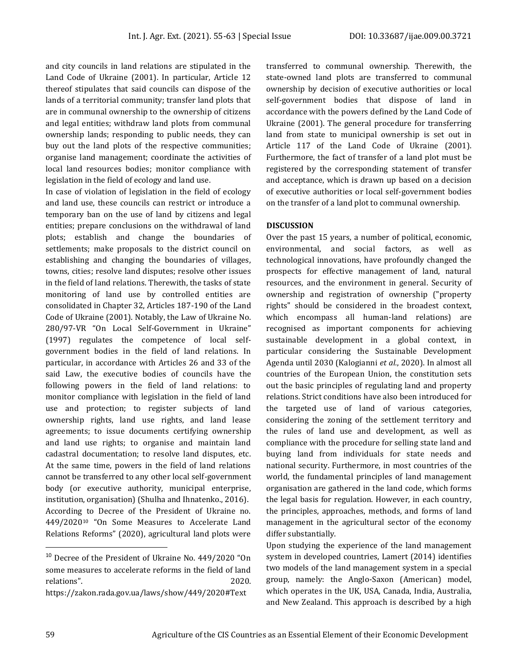and city councils in land relations are stipulated in the Land Code of Ukraine (2001). In particular, Article 12 thereof stipulates that said councils can dispose of the lands of a territorial community; transfer land plots that are in communal ownership to the ownership of citizens and legal entities; withdraw land plots from communal ownership lands; responding to public needs, they can buy out the land plots of the respective communities; organise land management; coordinate the activities of local land resources bodies; monitor compliance with legislation in the field of ecology and land use.

In case of violation of legislation in the field of ecology and land use, these councils can restrict or introduce a temporary ban on the use of land by citizens and legal entities; prepare conclusions on the withdrawal of land plots; establish and change the boundaries of settlements; make proposals to the district council on establishing and changing the boundaries of villages, towns, cities; resolve land disputes; resolve other issues in the field of land relations. Therewith, the tasks of state monitoring of land use by controlled entities are consolidated in Chapter 32, Articles 187-190 of the Land Code of Ukraine (2001). Notably, the Law of Ukraine No. 280/97-VR "On Local Self-Government in Ukraine" (1997) regulates the competence of local selfgovernment bodies in the field of land relations. In particular, in accordance with Articles 26 and 33 of the said Law, the executive bodies of councils have the following powers in the field of land relations: to monitor compliance with legislation in the field of land use and protection; to register subjects of land ownership rights, land use rights, and land lease agreements; to issue documents certifying ownership and land use rights; to organise and maintain land cadastral documentation; to resolve land disputes, etc. At the same time, powers in the field of land relations cannot be transferred to any other local self-government body (or executive authority, municipal enterprise, institution, organisation) (Shulha and Ihnatenko., 2016). According to Decree of the President of Ukraine no. 449/2020<sup>10</sup> "On Some Measures to Accelerate Land Relations Reforms" (2020), agricultural land plots were

transferred to communal ownership. Therewith, the state-owned land plots are transferred to communal ownership by decision of executive authorities or local self-government bodies that dispose of land in accordance with the powers defined by the Land Code of Ukraine (2001). The general procedure for transferring land from state to municipal ownership is set out in Article 117 of the Land Code of Ukraine (2001). Furthermore, the fact of transfer of a land plot must be registered by the corresponding statement of transfer and acceptance, which is drawn up based on a decision of executive authorities or local self-government bodies on the transfer of a land plot to communal ownership.

# **DISCUSSION**

Over the past 15 years, a number of political, economic, environmental, and social factors, as well as technological innovations, have profoundly changed the prospects for effective management of land, natural resources, and the environment in general. Security of ownership and registration of ownership ("property rights" should be considered in the broadest context, which encompass all human-land relations) are recognised as important components for achieving sustainable development in a global context, in particular considering the Sustainable Development Agenda until 2030 (Kalogianni *et al.*, 2020). In almost all countries of the European Union, the constitution sets out the basic principles of regulating land and property relations. Strict conditions have also been introduced for the targeted use of land of various categories, considering the zoning of the settlement territory and the rules of land use and development, as well as compliance with the procedure for selling state land and buying land from individuals for state needs and national security. Furthermore, in most countries of the world, the fundamental principles of land management organisation are gathered in the land code, which forms the legal basis for regulation. However, in each country, the principles, approaches, methods, and forms of land management in the agricultural sector of the economy differ substantially.

Upon studying the experience of the land management system in developed countries, Lamert (2014) identifies two models of the land management system in a special group, namely: the Anglo-Saxon (American) model, which operates in the UK, USA, Canada, India, Australia, and New Zealand. This approach is described by a high

<sup>10</sup> Decree of the President of Ukraine No. 449/2020 "On some measures to accelerate reforms in the field of land relations". 2020.

https://zakon.rada.gov.ua/laws/show/449/2020#Text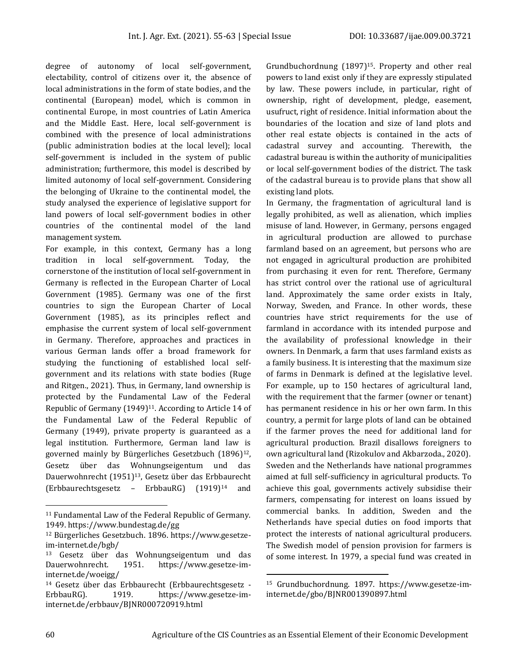degree of autonomy of local self-government, electability, control of citizens over it, the absence of local administrations in the form of state bodies, and the continental (European) model, which is common in continental Europe, in most countries of Latin America and the Middle East. Here, local self-government is combined with the presence of local administrations (public administration bodies at the local level); local self-government is included in the system of public administration; furthermore, this model is described by limited autonomy of local self-government. Considering the belonging of Ukraine to the continental model, the study analysed the experience of legislative support for land powers of local self-government bodies in other countries of the continental model of the land management system.

For example, in this context, Germany has a long tradition in local self-government. Today, the cornerstone of the institution of local self-government in Germany is reflected in the European Charter of Local Government (1985). Germany was one of the first countries to sign the European Charter of Local Government (1985), as its principles reflect and emphasise the current system of local self-government in Germany. Therefore, approaches and practices in various German lands offer a broad framework for studying the functioning of established local selfgovernment and its relations with state bodies (Ruge and Ritgen., 2021). Thus, in Germany, land ownership is protected by the Fundamental Law of the Federal Republic of Germany (1949)<sup>11</sup>. According to Article 14 of the Fundamental Law of the Federal Republic of Germany (1949), private property is guaranteed as a legal institution. Furthermore, German land law is governed mainly by Bürgerliches Gesetzbuch (1896)<sup>12</sup>, Gesetz über das Wohnungseigentum und das Dauerwohnrecht (1951)<sup>13</sup>, Gesetz über das Erbbaurecht (Erbbaurechtsgesetz – ErbbauRG) (1919)<sup>14</sup> and

Grundbuchordnung (1897)15. Property and other real powers to land exist only if they are expressly stipulated by law. These powers include, in particular, right of ownership, right of development, pledge, easement, usufruct, right of residence. Initial information about the boundaries of the location and size of land plots and other real estate objects is contained in the acts of cadastral survey and accounting. Therewith, the cadastral bureau is within the authority of municipalities or local self-government bodies of the district. The task of the cadastral bureau is to provide plans that show all existing land plots.

In Germany, the fragmentation of agricultural land is legally prohibited, as well as alienation, which implies misuse of land. However, in Germany, persons engaged in agricultural production are allowed to purchase farmland based on an agreement, but persons who are not engaged in agricultural production are prohibited from purchasing it even for rent. Therefore, Germany has strict control over the rational use of agricultural land. Approximately the same order exists in Italy, Norway, Sweden, and France. In other words, these countries have strict requirements for the use of farmland in accordance with its intended purpose and the availability of professional knowledge in their owners. In Denmark, a farm that uses farmland exists as a family business. It is interesting that the maximum size of farms in Denmark is defined at the legislative level. For example, up to 150 hectares of agricultural land, with the requirement that the farmer (owner or tenant) has permanent residence in his or her own farm. In this country, a permit for large plots of land can be obtained if the farmer proves the need for additional land for agricultural production. Brazil disallows foreigners to own agricultural land (Rizokulov and Akbarzoda., 2020). Sweden and the Netherlands have national programmes aimed at full self-sufficiency in agricultural products. To achieve this goal, governments actively subsidise their farmers, compensating for interest on loans issued by commercial banks. In addition, Sweden and the Netherlands have special duties on food imports that protect the interests of national agricultural producers. The Swedish model of pension provision for farmers is of some interest. In 1979, a special fund was created in

<sup>11</sup> Fundamental Law of the Federal Republic of Germany. 1949. https://www.bundestag.de/gg

<sup>12</sup> Bürgerliches Gesetzbuch. 1896. https://www.gesetzeim-internet.de/bgb/

<sup>&</sup>lt;sup>13</sup> Gesetz über das Wohnungseigentum und das Dauerwohnrecht. 1951. https://www.gesetze-iminternet.de/woeigg/

<sup>14</sup> Gesetz über das Erbbaurecht (Erbbaurechtsgesetz - ErbbauRG). 1919. https://www.gesetze-iminternet.de/erbbauv/BJNR000720919.html

<sup>15</sup> Grundbuchordnung. 1897. https://www.gesetze-iminternet.de/gbo/BJNR001390897.html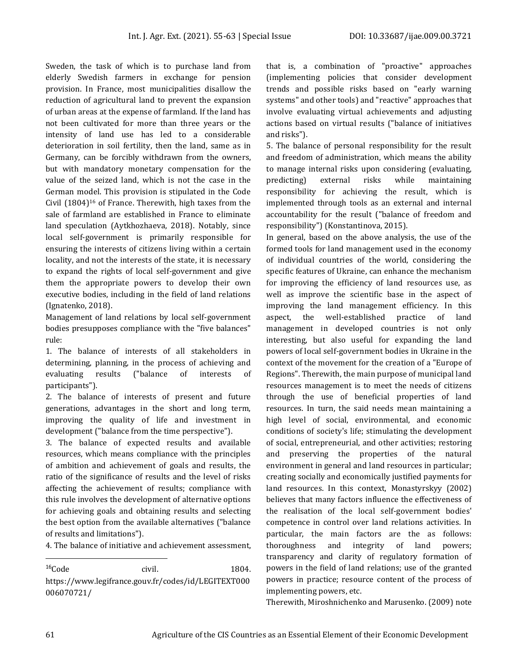Sweden, the task of which is to purchase land from elderly Swedish farmers in exchange for pension provision. In France, most municipalities disallow the reduction of agricultural land to prevent the expansion of urban areas at the expense of farmland. If the land has not been cultivated for more than three years or the intensity of land use has led to a considerable deterioration in soil fertility, then the land, same as in Germany, can be forcibly withdrawn from the owners, but with mandatory monetary compensation for the value of the seized land, which is not the case in the German model. This provision is stipulated in the Code Civil (1804)<sup>16</sup> of France. Therewith, high taxes from the sale of farmland are established in France to eliminate land speculation (Aytkhozhaeva, 2018). Notably, since local self-government is primarily responsible for ensuring the interests of citizens living within a certain locality, and not the interests of the state, it is necessary to expand the rights of local self-government and give them the appropriate powers to develop their own executive bodies, including in the field of land relations (Ignatenko, 2018).

Management of land relations by local self-government bodies presupposes compliance with the "five balances" rule:

1. The balance of interests of all stakeholders in determining, planning, in the process of achieving and evaluating results ("balance of interests of participants").

2. The balance of interests of present and future generations, advantages in the short and long term, improving the quality of life and investment in development ("balance from the time perspective").

3. The balance of expected results and available resources, which means compliance with the principles of ambition and achievement of goals and results, the ratio of the significance of results and the level of risks affecting the achievement of results; compliance with this rule involves the development of alternative options for achieving goals and obtaining results and selecting the best option from the available alternatives ("balance of results and limitations").

4. The balance of initiative and achievement assessment,

<sup>16</sup>Code civil. 1804. https://www.legifrance.gouv.fr/codes/id/LEGITEXT000 006070721/

that is, a combination of "proactive" approaches (implementing policies that consider development trends and possible risks based on "early warning systems" and other tools) and "reactive" approaches that involve evaluating virtual achievements and adjusting actions based on virtual results ("balance of initiatives and risks").

5. The balance of personal responsibility for the result and freedom of administration, which means the ability to manage internal risks upon considering (evaluating, predicting) external risks while maintaining responsibility for achieving the result, which is implemented through tools as an external and internal accountability for the result ("balance of freedom and responsibility") (Konstantinova, 2015).

In general, based on the above analysis, the use of the formed tools for land management used in the economy of individual countries of the world, considering the specific features of Ukraine, can enhance the mechanism for improving the efficiency of land resources use, as well as improve the scientific base in the aspect of improving the land management efficiency. In this aspect, the well-established practice of land management in developed countries is not only interesting, but also useful for expanding the land powers of local self-government bodies in Ukraine in the context of the movement for the creation of a "Europe of Regions". Therewith, the main purpose of municipal land resources management is to meet the needs of citizens through the use of beneficial properties of land resources. In turn, the said needs mean maintaining a high level of social, environmental, and economic conditions of society's life; stimulating the development of social, entrepreneurial, and other activities; restoring and preserving the properties of the natural environment in general and land resources in particular; creating socially and economically justified payments for land resources. In this context, Monastyrskyy (2002) believes that many factors influence the effectiveness of the realisation of the local self-government bodies' competence in control over land relations activities. In particular, the main factors are the as follows: thoroughness and integrity of land powers; transparency and clarity of regulatory formation of powers in the field of land relations; use of the granted powers in practice; resource content of the process of implementing powers, etc.

Therewith, Miroshnichenko and Marusenko. (2009) note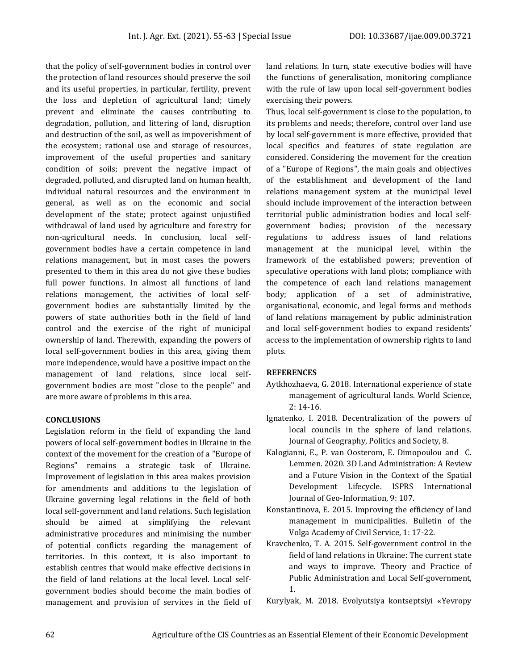that the policy of self-government bodies in control over the protection of land resources should preserve the soil and its useful properties, in particular, fertility, prevent the loss and depletion of agricultural land; timely prevent and eliminate the causes contributing to degradation, pollution, and littering of land, disruption and destruction of the soil, as well as impoverishment of the ecosystem; rational use and storage of resources, improvement of the useful properties and sanitary condition of soils; prevent the negative impact of degraded, polluted, and disrupted land on human health, individual natural resources and the environment in general, as well as on the economic and social development of the state; protect against unjustified withdrawal of land used by agriculture and forestry for non-agricultural needs. In conclusion, local selfgovernment bodies have a certain competence in land relations management, but in most cases the powers presented to them in this area do not give these bodies full power functions. In almost all functions of land relations management, the activities of local selfgovernment bodies are substantially limited by the powers of state authorities both in the field of land control and the exercise of the right of municipal ownership of land. Therewith, expanding the powers of local self-government bodies in this area, giving them more independence, would have a positive impact on the management of land relations, since local selfgovernment bodies are most "close to the people" and are more aware of problems in this area.

# **CONCLUSIONS**

Legislation reform in the field of expanding the land powers of local self-government bodies in Ukraine in the context of the movement for the creation of a "Europe of Regions" remains a strategic task of Ukraine. Improvement of legislation in this area makes provision for amendments and additions to the legislation of Ukraine governing legal relations in the field of both local self-government and land relations. Such legislation should be aimed at simplifying the relevant administrative procedures and minimising the number of potential conflicts regarding the management of territories. In this context, it is also important to establish centres that would make effective decisions in the field of land relations at the local level. Local selfgovernment bodies should become the main bodies of management and provision of services in the field of land relations. In turn, state executive bodies will have the functions of generalisation, monitoring compliance with the rule of law upon local self-government bodies exercising their powers.

Thus, local self-government is close to the population, to its problems and needs; therefore, control over land use by local self-government is more effective, provided that local specifics and features of state regulation are considered. Considering the movement for the creation of a "Europe of Regions", the main goals and objectives of the establishment and development of the land relations management system at the municipal level should include improvement of the interaction between territorial public administration bodies and local selfgovernment bodies; provision of the necessary regulations to address issues of land relations management at the municipal level, within the framework of the established powers; prevention of speculative operations with land plots; compliance with the competence of each land relations management body; application of a set of administrative, organisational, economic, and legal forms and methods of land relations management by public administration and local self-government bodies to expand residents' access to the implementation of ownership rights to land plots.

#### **REFERENCES**

- Aytkhozhaeva, G. 2018. International experience of state management of agricultural lands. World Science, 2: 14-16.
- Ignatenko, I. 2018. Decentralization of the powers of local councils in the sphere of land relations. Journal of Geography, Politics and Society, 8.
- Kalogianni, E., P. van Oosterom, E. Dimopoulou and C. Lemmen. 2020. 3D Land Administration: A Review and a Future Vision in the Context of the Spatial Development Lifecycle. ISPRS International Journal of Geo-Information, 9: 107.
- Konstantinova, E. 2015. Improving the efficiency of land management in municipalities. Bulletin of the Volga Academy of Civil Service, 1: 17-22.
- Kravchenko, T. A. 2015. Self-government control in the field of land relations in Ukraine: The current state and ways to improve. Theory and Practice of Public Administration and Local Self-government, 1.

Kurylyak, M. 2018. Evolyutsiya kontseptsiyi «Yevropy